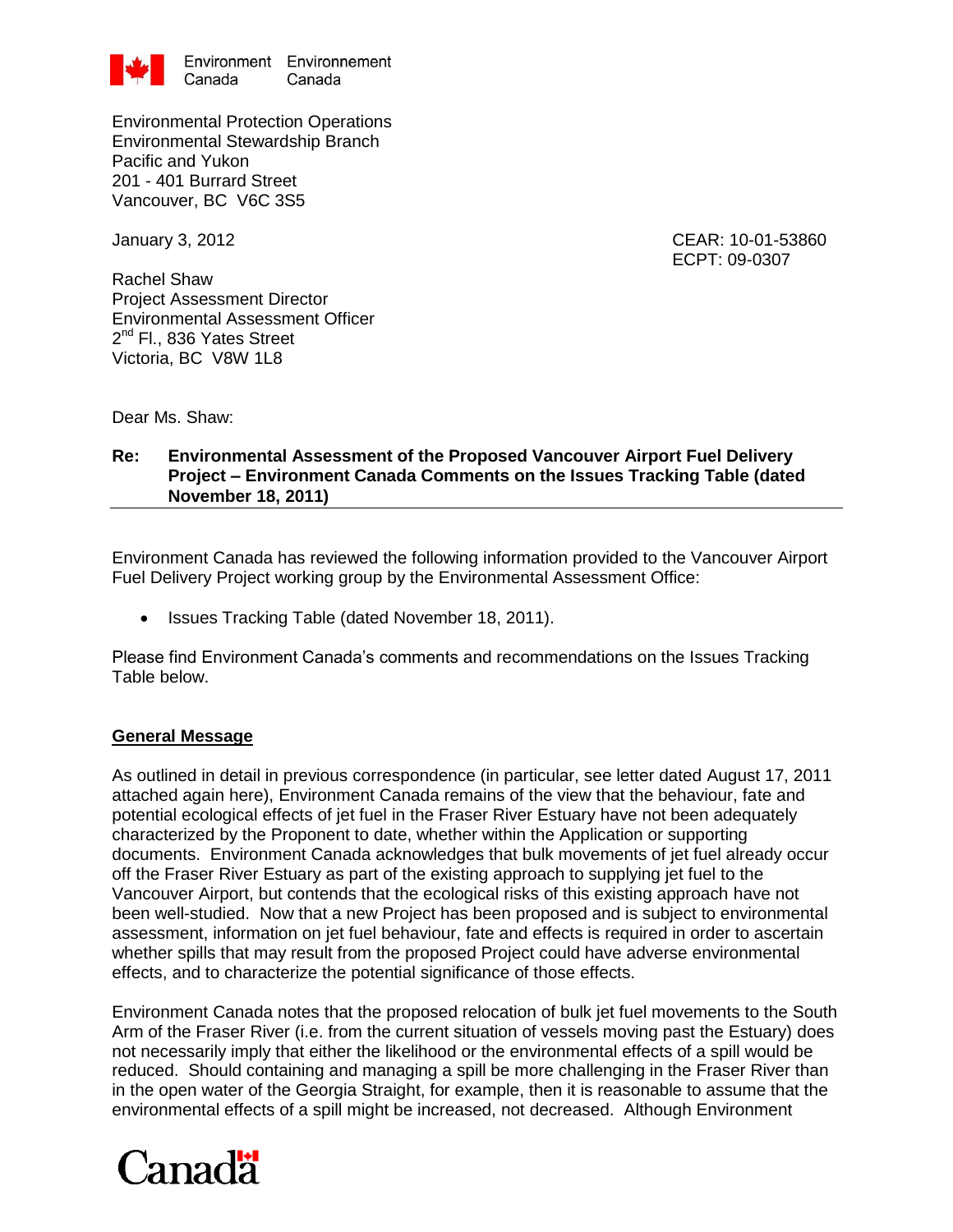

Environmental Protection Operations Environmental Stewardship Branch Pacific and Yukon 201 - 401 Burrard Street Vancouver, BC V6C 3S5

January 3, 2012 CEAR: 10-01-53860 ECPT: 09-0307

Rachel Shaw Project Assessment Director Environmental Assessment Officer 2<sup>nd</sup> Fl., 836 Yates Street Victoria, BC V8W 1L8

Dear Ms. Shaw:

## **Re: Environmental Assessment of the Proposed Vancouver Airport Fuel Delivery Project – Environment Canada Comments on the Issues Tracking Table (dated November 18, 2011)**

Environment Canada has reviewed the following information provided to the Vancouver Airport Fuel Delivery Project working group by the Environmental Assessment Office:

• Issues Tracking Table (dated November 18, 2011).

Please find Environment Canada's comments and recommendations on the Issues Tracking Table below.

## **General Message**

As outlined in detail in previous correspondence (in particular, see letter dated August 17, 2011 attached again here), Environment Canada remains of the view that the behaviour, fate and potential ecological effects of jet fuel in the Fraser River Estuary have not been adequately characterized by the Proponent to date, whether within the Application or supporting documents. Environment Canada acknowledges that bulk movements of jet fuel already occur off the Fraser River Estuary as part of the existing approach to supplying jet fuel to the Vancouver Airport, but contends that the ecological risks of this existing approach have not been well-studied. Now that a new Project has been proposed and is subject to environmental assessment, information on jet fuel behaviour, fate and effects is required in order to ascertain whether spills that may result from the proposed Project could have adverse environmental effects, and to characterize the potential significance of those effects.

Environment Canada notes that the proposed relocation of bulk jet fuel movements to the South Arm of the Fraser River (i.e. from the current situation of vessels moving past the Estuary) does not necessarily imply that either the likelihood or the environmental effects of a spill would be reduced. Should containing and managing a spill be more challenging in the Fraser River than in the open water of the Georgia Straight, for example, then it is reasonable to assume that the environmental effects of a spill might be increased, not decreased. Although Environment

## Canadä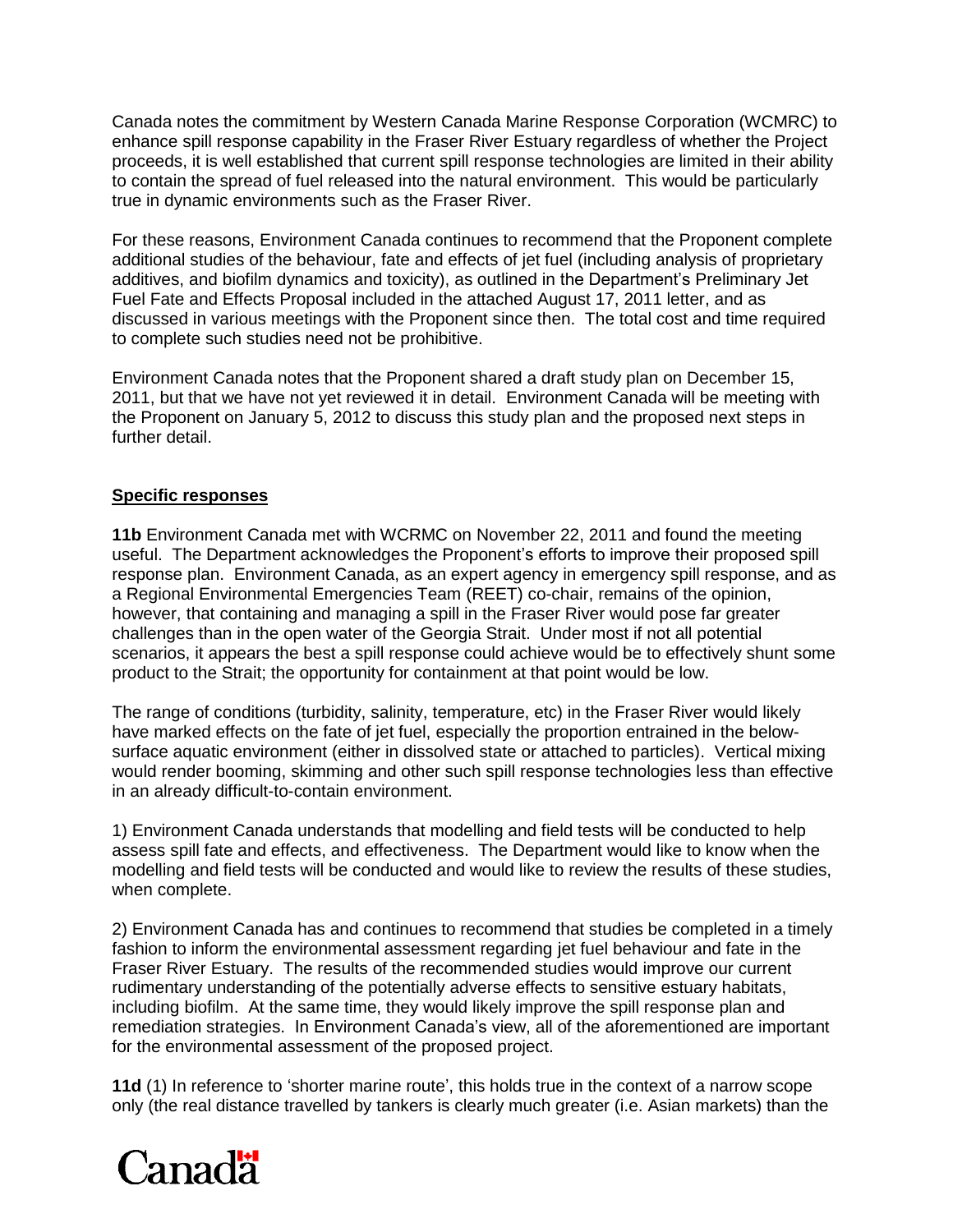Canada notes the commitment by Western Canada Marine Response Corporation (WCMRC) to enhance spill response capability in the Fraser River Estuary regardless of whether the Project proceeds, it is well established that current spill response technologies are limited in their ability to contain the spread of fuel released into the natural environment. This would be particularly true in dynamic environments such as the Fraser River.

For these reasons, Environment Canada continues to recommend that the Proponent complete additional studies of the behaviour, fate and effects of jet fuel (including analysis of proprietary additives, and biofilm dynamics and toxicity), as outlined in the Department's Preliminary Jet Fuel Fate and Effects Proposal included in the attached August 17, 2011 letter, and as discussed in various meetings with the Proponent since then. The total cost and time required to complete such studies need not be prohibitive.

Environment Canada notes that the Proponent shared a draft study plan on December 15, 2011, but that we have not yet reviewed it in detail. Environment Canada will be meeting with the Proponent on January 5, 2012 to discuss this study plan and the proposed next steps in further detail.

## **Specific responses**

**11b** Environment Canada met with WCRMC on November 22, 2011 and found the meeting useful. The Department acknowledges the Proponent's efforts to improve their proposed spill response plan. Environment Canada, as an expert agency in emergency spill response, and as a Regional Environmental Emergencies Team (REET) co-chair, remains of the opinion, however, that containing and managing a spill in the Fraser River would pose far greater challenges than in the open water of the Georgia Strait. Under most if not all potential scenarios, it appears the best a spill response could achieve would be to effectively shunt some product to the Strait; the opportunity for containment at that point would be low.

The range of conditions (turbidity, salinity, temperature, etc) in the Fraser River would likely have marked effects on the fate of jet fuel, especially the proportion entrained in the belowsurface aquatic environment (either in dissolved state or attached to particles). Vertical mixing would render booming, skimming and other such spill response technologies less than effective in an already difficult-to-contain environment.

1) Environment Canada understands that modelling and field tests will be conducted to help assess spill fate and effects, and effectiveness. The Department would like to know when the modelling and field tests will be conducted and would like to review the results of these studies, when complete.

2) Environment Canada has and continues to recommend that studies be completed in a timely fashion to inform the environmental assessment regarding jet fuel behaviour and fate in the Fraser River Estuary. The results of the recommended studies would improve our current rudimentary understanding of the potentially adverse effects to sensitive estuary habitats, including biofilm. At the same time, they would likely improve the spill response plan and remediation strategies. In Environment Canada's view, all of the aforementioned are important for the environmental assessment of the proposed project.

**11d** (1) In reference to 'shorter marine route', this holds true in the context of a narrow scope only (the real distance travelled by tankers is clearly much greater (i.e. Asian markets) than the

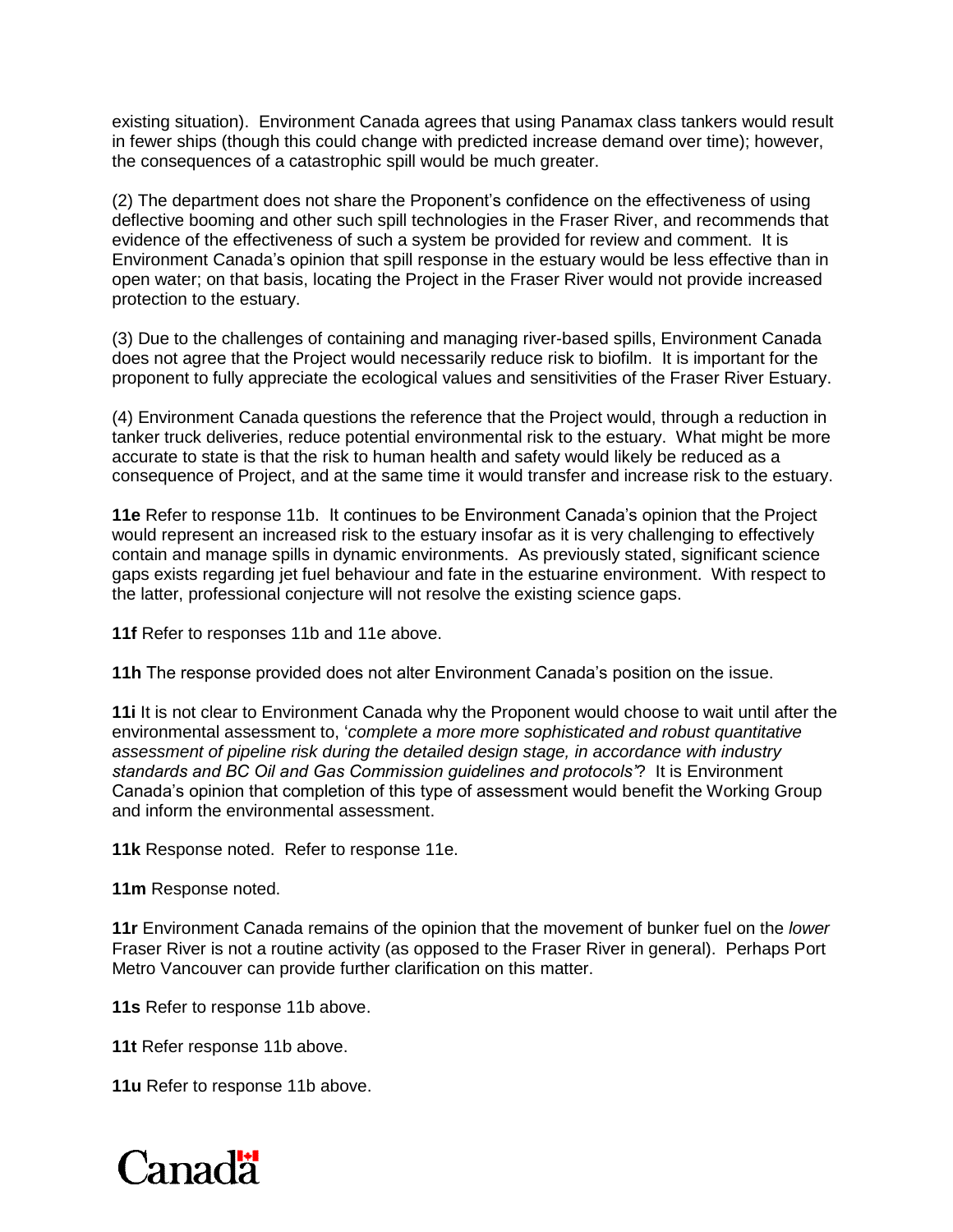existing situation). Environment Canada agrees that using Panamax class tankers would result in fewer ships (though this could change with predicted increase demand over time); however, the consequences of a catastrophic spill would be much greater.

(2) The department does not share the Proponent's confidence on the effectiveness of using deflective booming and other such spill technologies in the Fraser River, and recommends that evidence of the effectiveness of such a system be provided for review and comment. It is Environment Canada's opinion that spill response in the estuary would be less effective than in open water; on that basis, locating the Project in the Fraser River would not provide increased protection to the estuary.

(3) Due to the challenges of containing and managing river-based spills, Environment Canada does not agree that the Project would necessarily reduce risk to biofilm. It is important for the proponent to fully appreciate the ecological values and sensitivities of the Fraser River Estuary.

(4) Environment Canada questions the reference that the Project would, through a reduction in tanker truck deliveries, reduce potential environmental risk to the estuary. What might be more accurate to state is that the risk to human health and safety would likely be reduced as a consequence of Project, and at the same time it would transfer and increase risk to the estuary.

**11e** Refer to response 11b. It continues to be Environment Canada's opinion that the Project would represent an increased risk to the estuary insofar as it is very challenging to effectively contain and manage spills in dynamic environments. As previously stated, significant science gaps exists regarding jet fuel behaviour and fate in the estuarine environment. With respect to the latter, professional conjecture will not resolve the existing science gaps.

**11f** Refer to responses 11b and 11e above.

**11h** The response provided does not alter Environment Canada's position on the issue.

**11i** It is not clear to Environment Canada why the Proponent would choose to wait until after the environmental assessment to, '*complete a more more sophisticated and robust quantitative assessment of pipeline risk during the detailed design stage, in accordance with industry standards and BC Oil and Gas Commission guidelines and protocols'*? It is Environment Canada's opinion that completion of this type of assessment would benefit the Working Group and inform the environmental assessment.

**11k** Response noted. Refer to response 11e.

**11m** Response noted.

**11r** Environment Canada remains of the opinion that the movement of bunker fuel on the *lower*  Fraser River is not a routine activity (as opposed to the Fraser River in general). Perhaps Port Metro Vancouver can provide further clarification on this matter.

**11s** Refer to response 11b above.

**11t** Refer response 11b above.

**11u** Refer to response 11b above.

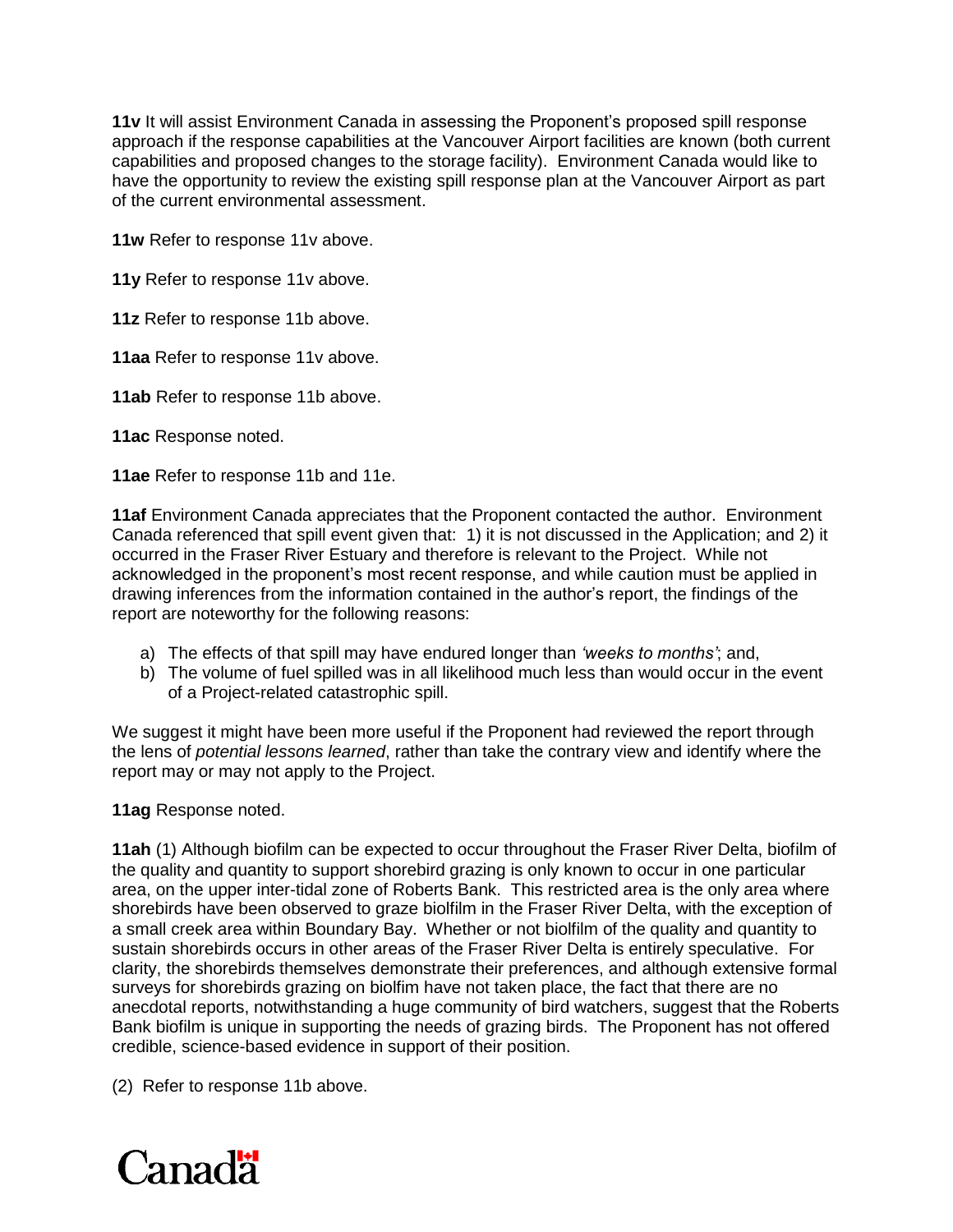**11v** It will assist Environment Canada in assessing the Proponent's proposed spill response approach if the response capabilities at the Vancouver Airport facilities are known (both current capabilities and proposed changes to the storage facility). Environment Canada would like to have the opportunity to review the existing spill response plan at the Vancouver Airport as part of the current environmental assessment.

**11w** Refer to response 11v above.

**11y** Refer to response 11v above.

**11z** Refer to response 11b above.

**11aa** Refer to response 11v above.

**11ab** Refer to response 11b above.

**11ac** Response noted.

**11ae** Refer to response 11b and 11e.

**11af** Environment Canada appreciates that the Proponent contacted the author. Environment Canada referenced that spill event given that: 1) it is not discussed in the Application; and 2) it occurred in the Fraser River Estuary and therefore is relevant to the Project. While not acknowledged in the proponent's most recent response, and while caution must be applied in drawing inferences from the information contained in the author's report, the findings of the report are noteworthy for the following reasons:

- a) The effects of that spill may have endured longer than *'weeks to months'*; and,
- b) The volume of fuel spilled was in all likelihood much less than would occur in the event of a Project-related catastrophic spill.

We suggest it might have been more useful if the Proponent had reviewed the report through the lens of *potential lessons learned*, rather than take the contrary view and identify where the report may or may not apply to the Project.

**11ag** Response noted.

**11ah** (1) Although biofilm can be expected to occur throughout the Fraser River Delta, biofilm of the quality and quantity to support shorebird grazing is only known to occur in one particular area, on the upper inter-tidal zone of Roberts Bank. This restricted area is the only area where shorebirds have been observed to graze biolfilm in the Fraser River Delta, with the exception of a small creek area within Boundary Bay. Whether or not biolfilm of the quality and quantity to sustain shorebirds occurs in other areas of the Fraser River Delta is entirely speculative. For clarity, the shorebirds themselves demonstrate their preferences, and although extensive formal surveys for shorebirds grazing on biolfim have not taken place, the fact that there are no anecdotal reports, notwithstanding a huge community of bird watchers, suggest that the Roberts Bank biofilm is unique in supporting the needs of grazing birds. The Proponent has not offered credible, science-based evidence in support of their position.

(2) Refer to response 11b above.